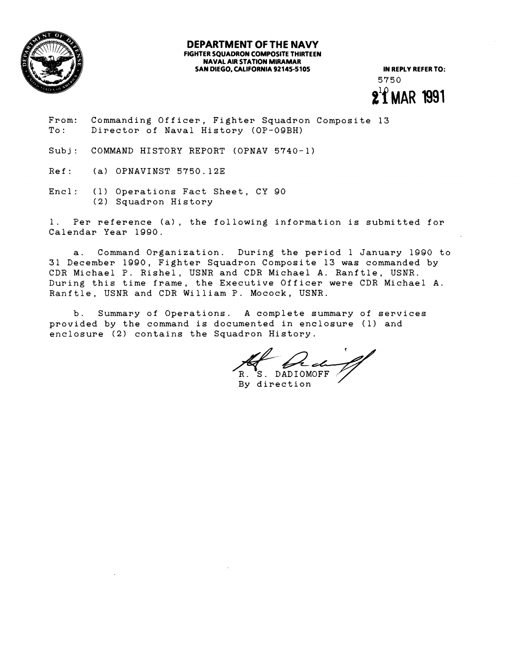

## **DEPARTMENT OF THE NAVY FIGHTER SQUADRON COMPOSITE THIRTEEN NAVAL AIR STATION MIRAMAR**  SAN DIEGO, CALIFORNIA 92145-5105 **IN REPLY REFER TO:**

5750  $2^{1}$ f MAR 1991

- From: Commanding Officer, Fighter Squadron Composite 13 To: Director of Naval History (OP-09BH)
- Subj: COMMAND HISTORY REPORT (OPNAV 5740-1)
- Ref: (a) OPNAVINST 5750.12E
- Encl: (1) Operations Fact Sheet, CY 90 (2) Squadron History

1. Per reference (a), the following information is submitted for Calendar Year 1990.

a. Command Organization. During the period 1 January 1990 to 31 December 1990, Fighter Squadron Composite 13 was commanded by CDR Michael P. Rishel, USNR and CDR Michael A. Ranftle, USNR. During this time frame, the Executive Officer were CDR Michael A. Ranftle, USNR and CDR William **P.** Mocock, USNR.

b. Summary of Operations. A complete summary of services provided by the command is documented in enclosure (1) and enclosure (2) contains the Squadron History. *A* CDR Michael A. Ranfile, USNR.<br>
P. Mocock, USNR.<br>
A complete summary of services<br>
umented in enclosure (1) and<br>
adron History.<br>
R. S. DADIOMOFF By direction

R. S. DADIOMOFF<br>By direction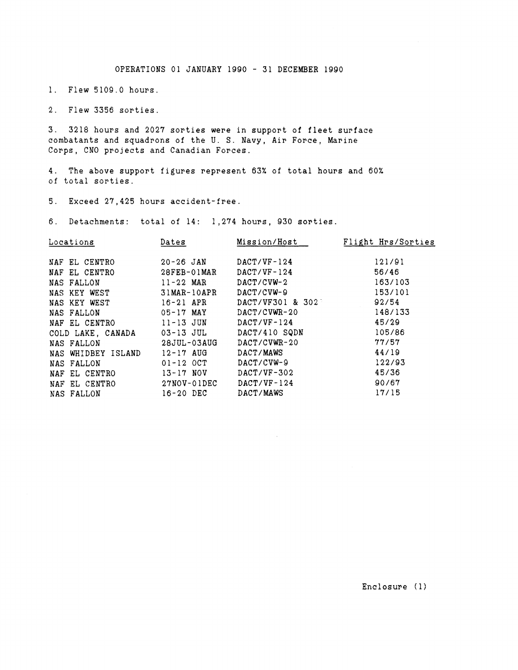OPERATIONS 01 JANUARY 1990 - 31 DECEMBER 1990

1. Flew 5109.0 hours

2. Flew 3356 sorties.

3. 3218 hours and 2027 sorties were in support of fleet surface combatants and squadrons of the U. S. Navy, Air Force, Marine Corps, CNO projects and Canadian Forces.

4. The above support figures represent 63% of total hours and 60% of total sorties.

5. Exceed 27,425 hours accident-free.

6. Detachments: total of 14: 1,274 hours, 930 sorties.

| Dates         | Mission/Host     | Flight Hrs/Sorties |
|---------------|------------------|--------------------|
| $20 - 26$ JAN | $DACT/VF-124$    | 121/91             |
| $28FEB-01MAR$ | $DACT/VF-124$    | 56/46              |
| $11 - 22$ MAR | $DACT/CVW-2$     | 163/103            |
| $31MAR-10APR$ | DACT/CVW-9       | 153/101            |
| $16 - 21$ APR | DACT/VF301 & 302 | 92/54              |
| $05 - 17$ MAY | $DACT/CVWR-20$   | 148/133            |
| $11 - 13$ JUN | $DACT/VF-124$    | 45/29              |
| 03-13 JUL     | DACT/410 SQDN    | 105/86             |
| 28JUL-03AUG   | DACT/CVWR-20     | 77/57              |
| $12 - 17$ AUG | DACT/MAWS        | 44/19              |
| $01 - 12$ OCT | $DACT/CVW-9$     | 122/93             |
| $13 - 17$ NOV | $DACT/VF-302$    | 45/36              |
| $27NOV-01DEC$ | $DACT/VF-124$    | 90/67              |
| $16 - 20$ DEC | DACT/MAWS        | 17/15              |
|               |                  |                    |

Enclosure (1)